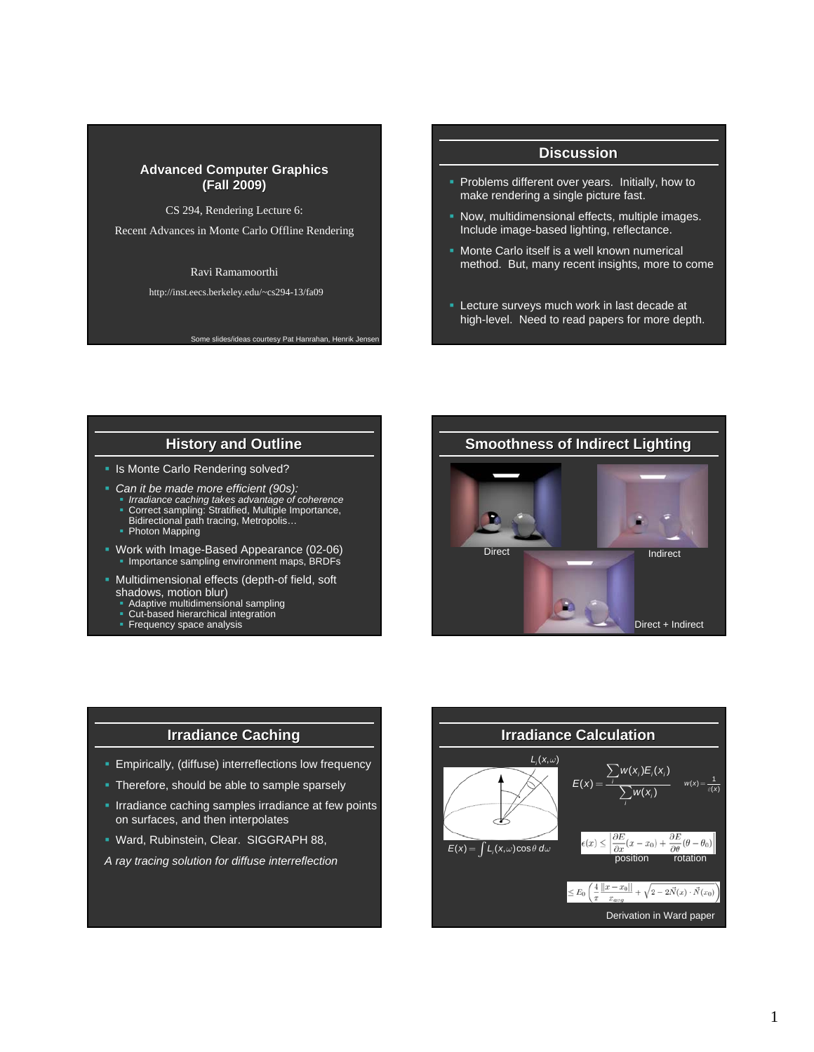#### **Advanced Computer Graphics (Fall 2009) (Fall 2009)**

CS 294, Rendering Lecture 6:

Recent Advances in Monte Carlo Offline Rendering

Ravi Ramamoorthi

http://inst.eecs.berkeley.edu/~cs294-13/fa09

Some slides/ideas courtesy Pat Hanrahan, Henrik Jense

#### **Discussion**

- Problems different over years. Initially, how to make rendering a single picture fast.
- **Now, multidimensional effects, multiple images.** Include image-based lighting, reflectance.
- **Monte Carlo itself is a well known numerical** method. But, many recent insights, more to come
- **Lecture surveys much work in last decade at** high-level. Need to read papers for more depth.

### **History and Outline**

**In Its Monte Carlo Rendering solved?** 

- *Can it be made more efficient (90s):*
	- *I* Irradiance caching takes advantage of coherence<br> **Correct sampling: Stratified, Multiple Importance,<br>Bidirectional path tracing, Metropolis…**
	- Photon Mapping
	-
- Work with Image-Based Appearance (02-06) Importance sampling environment maps, BRDFs
- Multidimensional effects (depth-of field, soft shadows, motion blur)
	- Adaptive multidimensional sampling Cut-based hierarchical integration
	-
	- **Frequency space analysis**





- **Empirically, (diffuse) interreflections low frequency**
- Therefore, should be able to sample sparsely
- **IFITHAMIANCE CACHING SAMPLES ITTADIANCE At few points** on surfaces, and then interpolates
- Ward, Rubinstein, Clear. SIGGRAPH 88,
- *A ray tracing solution for diffuse interreflection*

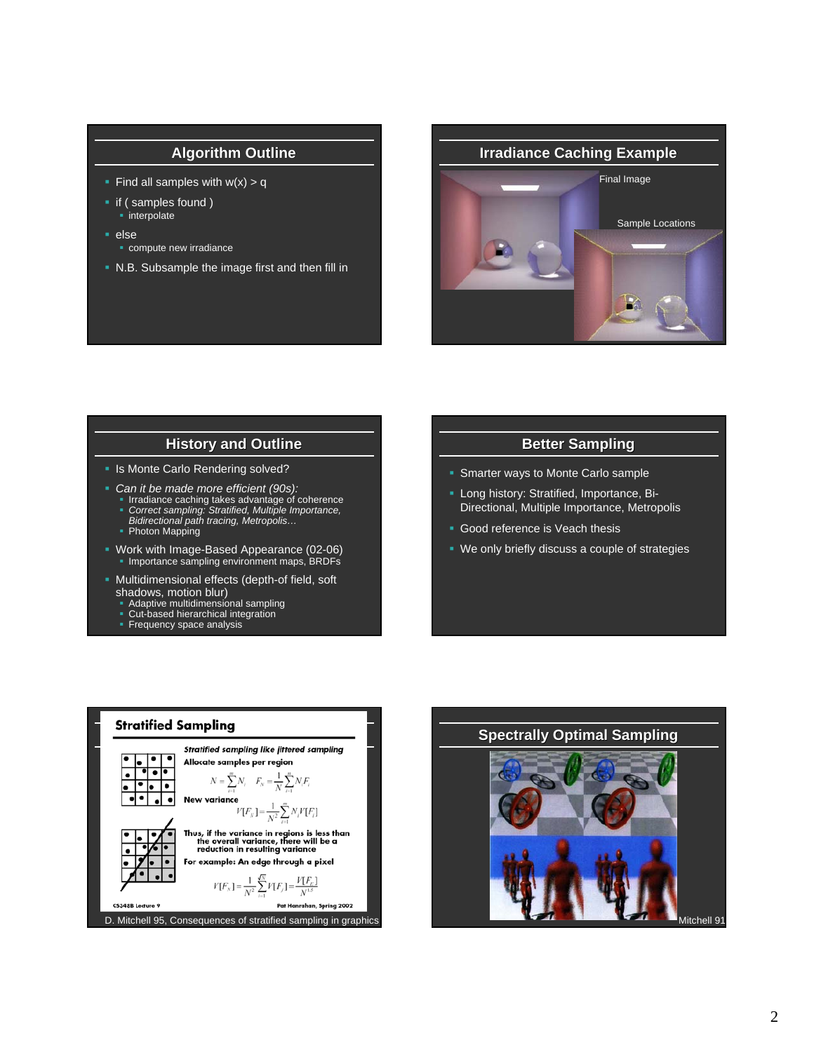### **Algorithm Outline**

- Find all samples with  $w(x) > q$
- if ( samples found )
- interpolate
- else
	- **compute new irradiance**
- N.B. Subsample the image first and then fill in



### **History and Outline**

**In Its Monte Carlo Rendering solved?** 

- *Can it be made more efficient (90s):*
	- Irradiance caching takes advantage of coherence *Correct sampling: Stratified, Multiple Importance, Bidirectional path tracing, Metropolis…*
	- Photon Mapping
	-
- Work with Image-Based Appearance (02-06) Importance sampling environment maps, BRDFs
- **Multidimensional effects (depth-of field, soft** shadows, motion blur)
	- Adaptive multidimensional sampling Cut-based hierarchical integration
	-
	- **Frequency space analysis**

#### **Better Sampling**

- Smarter ways to Monte Carlo sample
- **Long history: Stratified, Importance, Bi-**Directional, Multiple Importance, Metropolis
- Good reference is Veach thesis
- We only briefly discuss a couple of strategies



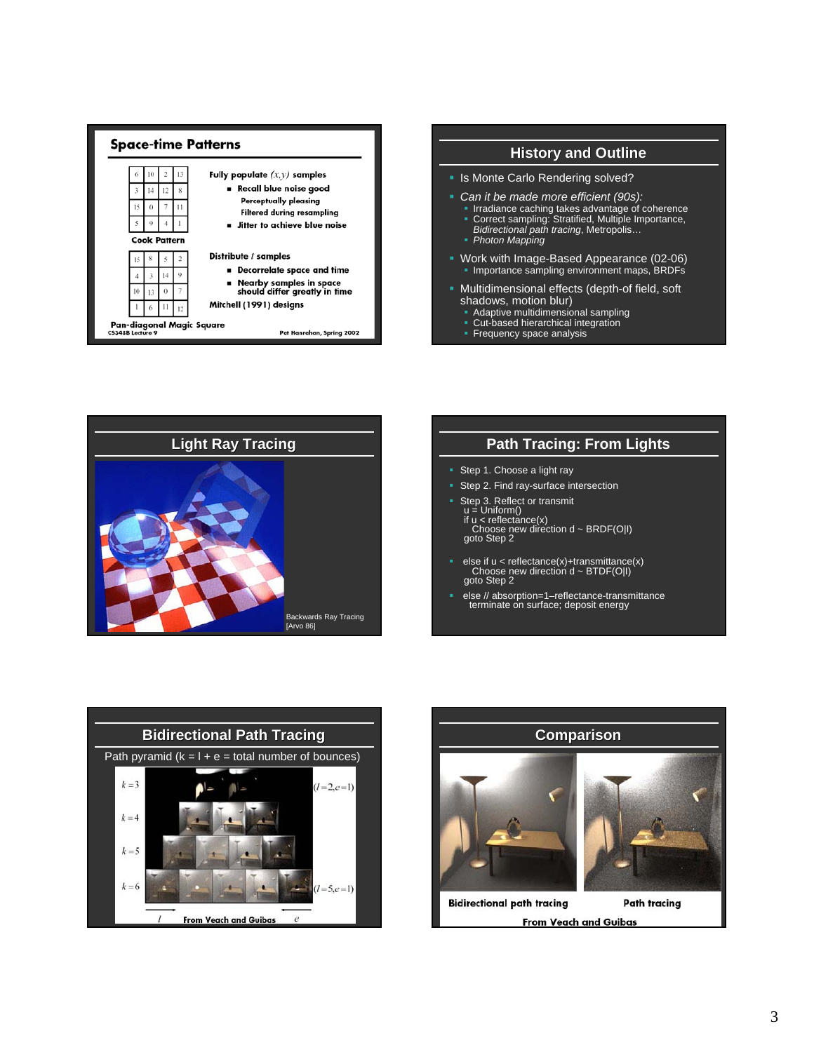





## **Path Tracing: From Lights**

- Step 1. Choose a light ray
- Step 2. Find ray-surface intersection
- Step 3. Reflect or transmit<br>
u = Uniform()<br>
if u < reflectance(x)<br>
Choose new direction d ~ BRDF(O|I)<br>
goto Step 2
- else if u < reflectance(x)+transmittance(x) Choose new direction d ~ BTDF(O|I) goto Step 2
- else // absorption=1–reflectance-transmittance terminate on surface; deposit energy



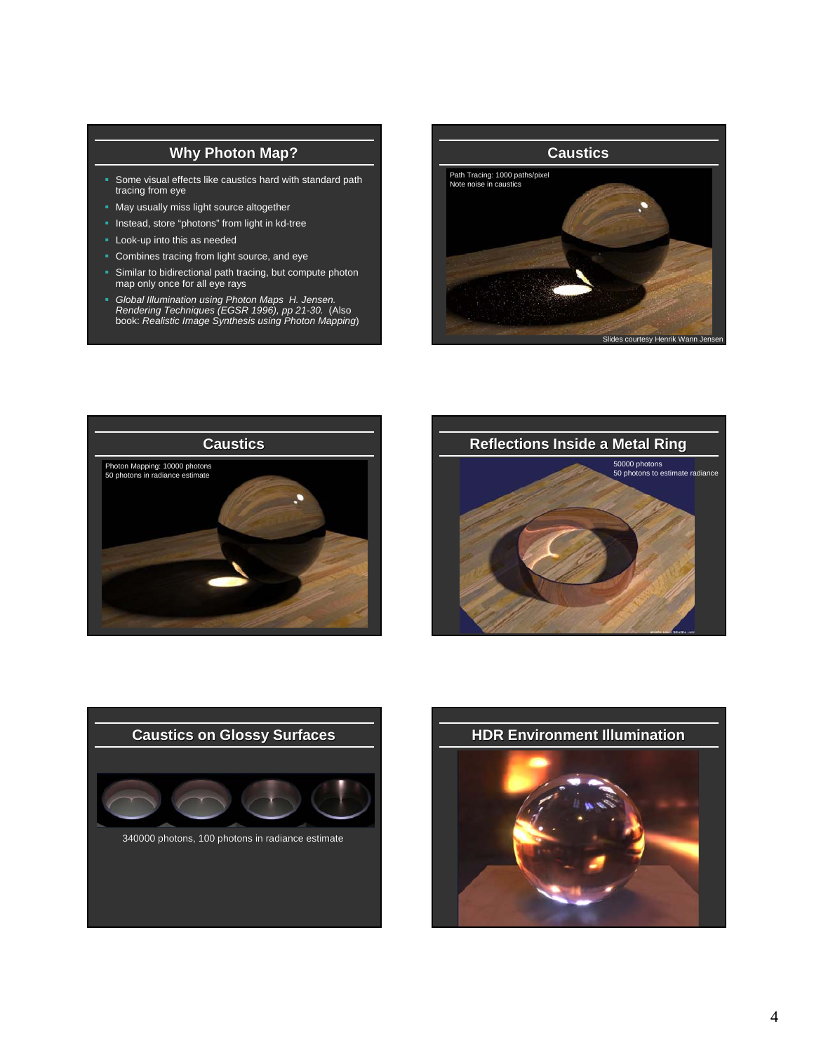## **Why Photon Map?**

- Some visual effects like caustics hard with standard path tracing from eye
- May usually miss light source altogether
- **Instead, store "photons" from light in kd-tree**
- Look-up into this as needed
- **Combines tracing from light source, and eye**
- Similar to bidirectional path tracing, but compute photon map only once for all eye rays
- *Global Illumination using Photon Maps H. Jensen. Rendering Techniques (EGSR 1996), pp 21-30.* (Also book: *Realistic Image Synthesis using Photon Mapping*)









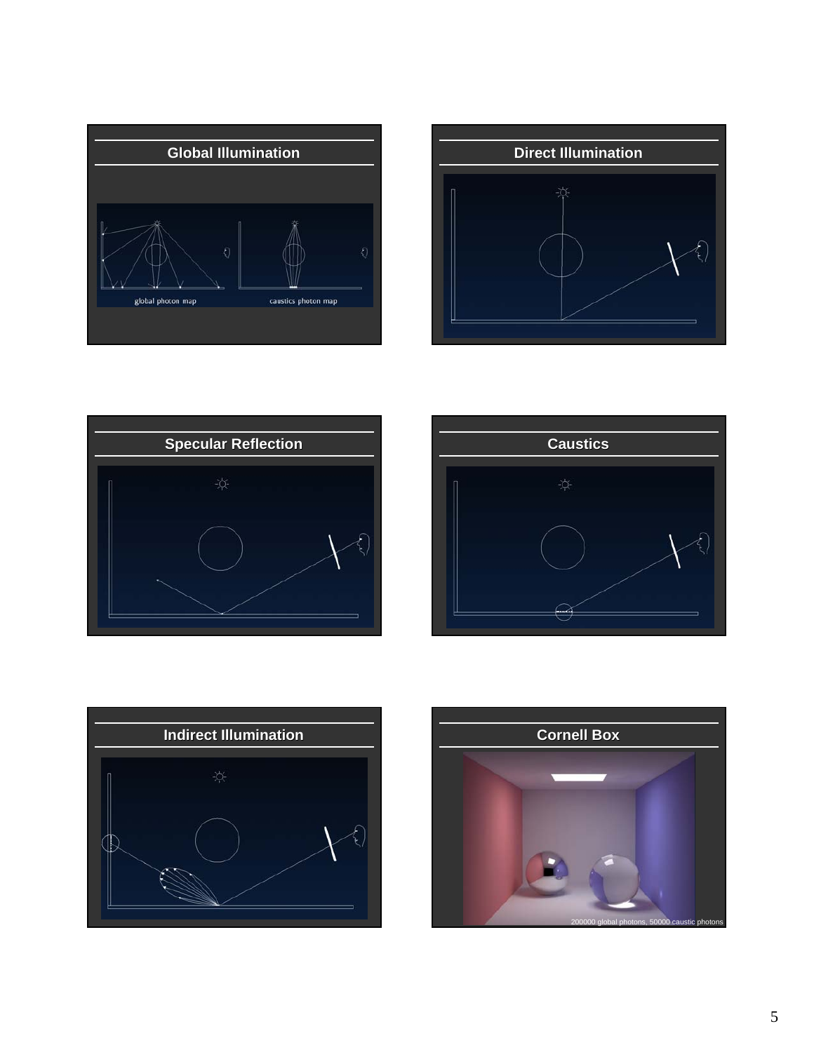

![](_page_4_Figure_1.jpeg)

![](_page_4_Picture_2.jpeg)

![](_page_4_Picture_3.jpeg)

![](_page_4_Figure_4.jpeg)

![](_page_4_Picture_5.jpeg)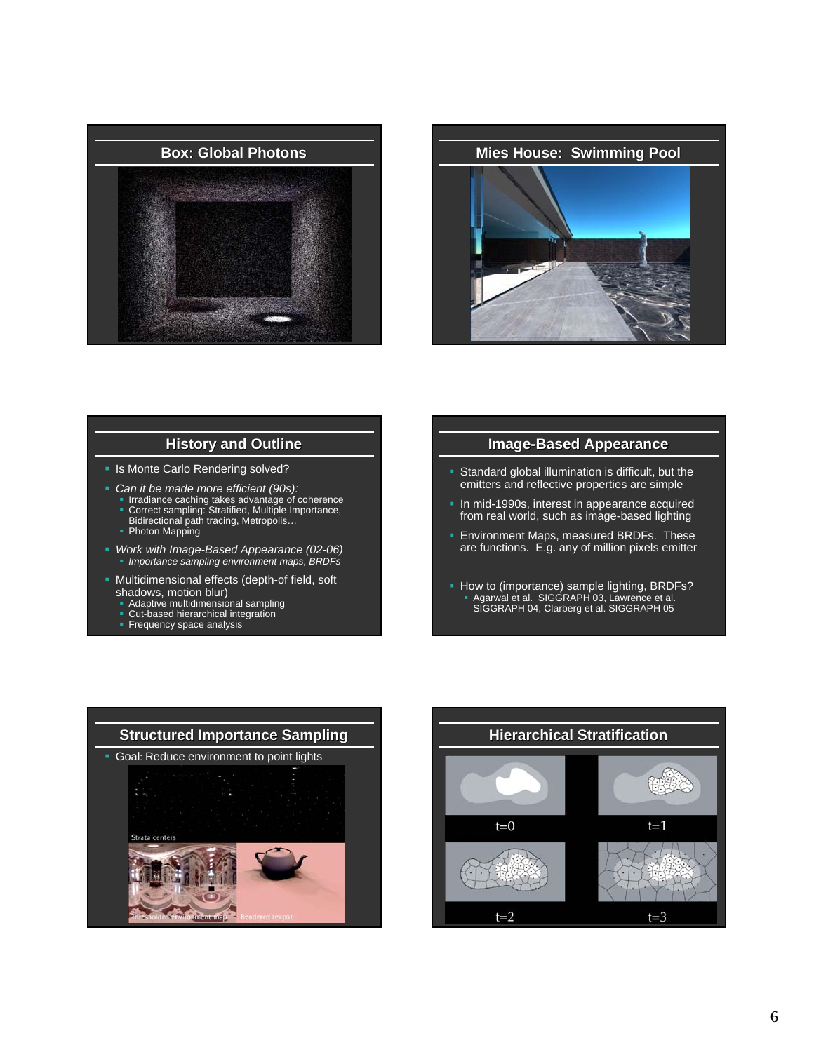![](_page_5_Picture_0.jpeg)

![](_page_5_Picture_1.jpeg)

### **History and Outline**

**In Its Monte Carlo Rendering solved?** 

- *Can it be made more efficient (90s):*
	- Irradiance caching takes advantage of coherence<br>■ Correct sampling: Stratified, Multiple Importance,<br>Bidirectional path tracing, Metropolis...
	- Photon Mapping
- *Work with Image-Based Appearance (02-06) Importance sampling environment maps, BRDFs*
- Multidimensional effects (depth-of field, soft shadows, motion blur)
	- Adaptive multidimensional sampling
	- Cut-based hierarchical integration
	- **Frequency space analysis**

#### **Image-Based Appearance**

- Standard global illumination is difficult, but the emitters and reflective properties are simple
- **In mid-1990s, interest in appearance acquired** from real world, such as image-based lighting
- **Environment Maps, measured BRDFs. These** are functions. E.g. any of million pixels emitter
- How to (importance) sample lighting, BRDFs? Agarwal et al. SIGGRAPH 03, Lawrence et al. SIGGRAPH 04, Clarberg et al. SIGGRAPH 05

![](_page_5_Picture_17.jpeg)

![](_page_5_Figure_18.jpeg)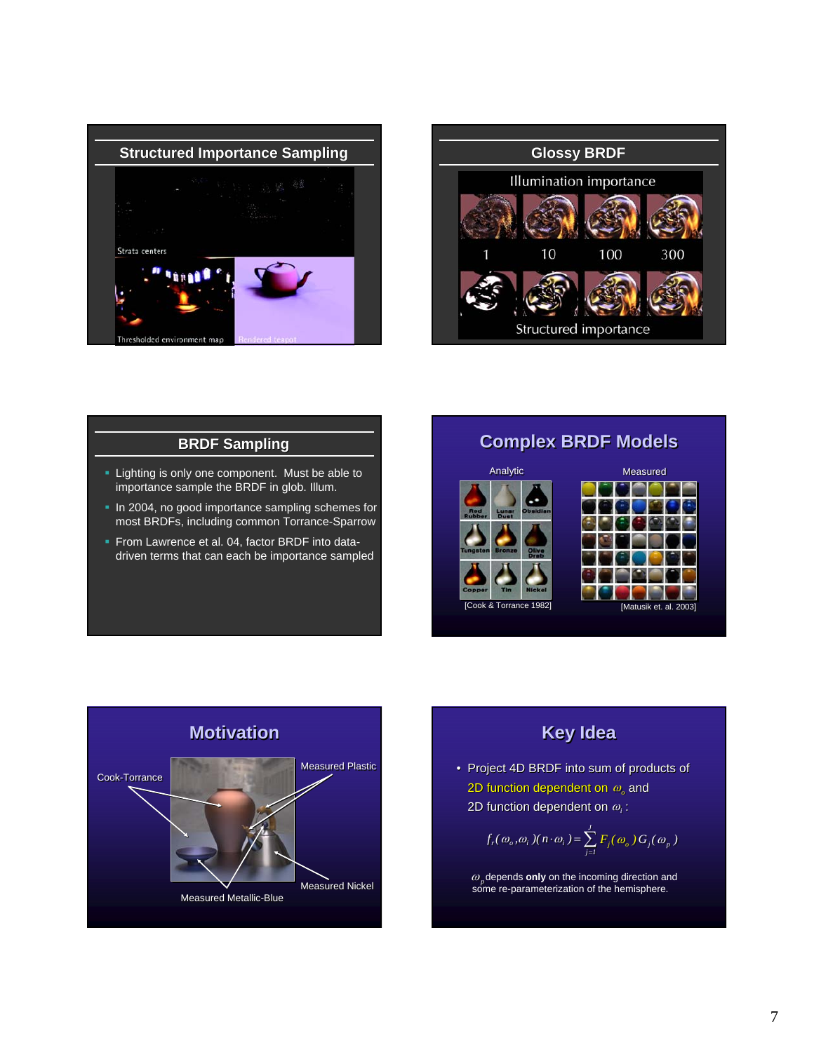![](_page_6_Picture_0.jpeg)

![](_page_6_Figure_1.jpeg)

## **BRDF Sampling**

- **Lighting is only one component. Must be able to** importance sample the BRDF in glob. Illum.
- In 2004, no good importance sampling schemes for most BRDFs, including common Torrance-Sparrow
- **From Lawrence et al. 04, factor BRDF into data**driven terms that can each be importance sampled

# **Complex BRDF Models Complex BRDF Models**

![](_page_6_Figure_7.jpeg)

![](_page_6_Figure_8.jpeg)

# **Key Idea Key Idea**

- Project 4D BRDF into sum of products of<br>2D function dependent on  $\omega_c$  and<br>2D function dependent on  $\omega_c$  : 2D function dependent on  $\bm{\omega}_o$  and
	- 2D function dependent on  $\omega_i$  :

$$
f_r(\omega_o, \omega_i)(n \cdot \omega_i) = \sum_{j=1}^{J} F_j(\omega_o) G_j(\omega_p)
$$

 $\omega_p$  depends **only** on the incoming direction and some re-parameterization of the hemisphere.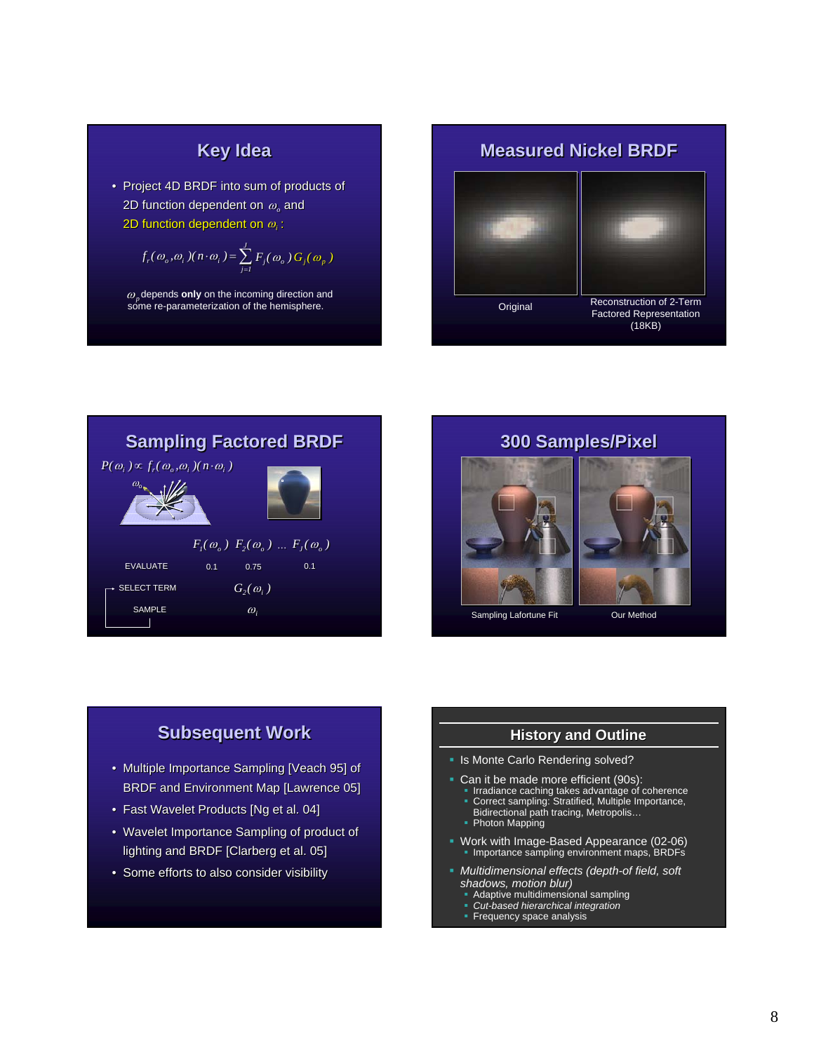# **Key Idea Key Idea**

• Project 4D BRDF into sum of products of 2D function dependent on  $\omega_o$  and 2D function dependent on  $\omega_o$  and<br>2D function dependent on  $\omega_i$  :

$$
f_r(\omega_o, \omega_i)(n \cdot \omega_i) = \sum_{j=1}^J F_j(\omega_o) G_j(\omega_p)
$$

 $\omega_p$  depends **only** on the incoming direction and some re-parameterization of the hemisphere.

![](_page_7_Picture_4.jpeg)

![](_page_7_Figure_5.jpeg)

# **300 Samples/Pixel 300 Samples/Pixel 300 Samples/Pixel**

![](_page_7_Picture_7.jpeg)

# **Subsequent Work Subsequent Work**

- Multiple Importance Sampling [Veach 95] of BRDF and Environment Map [Lawrence 05] • Multiple Importance Sampling [ Multiple Importance [Veach 95] of BRDF and Environment Map [Lawrence 05] BRDF and Environment Map [Lawrence 05]
- Fast Wavelet Products [Ng et al. 04]
- Fast Wavelet Products [Ng et al. 04]<br>• Wavelet Importance Sampling of product of lighting and BRDF [Clarberg et al. 05]
- lighting and BRDF [Clarberg et al. 05]<br>• Some efforts to also consider visibility

### **History and Outline**

- Is Monte Carlo Rendering solved?
- Can it be made more efficient (90s):
	- Irradiance caching takes advantage of coherence Correct sampling: Stratified, Multiple Importance, Bidirectional path tracing, Metropolis… Photon Mapping
	-
	-
- Work with Image-Based Appearance (02-06) Importance sampling environment maps, BRDFs
- *Multidimensional effects (depth-of field, soft shadows, motion blur)*
	- Adaptive multidimensional sampling *Cut-based hierarchical integration*
	-
	- Frequency space analysis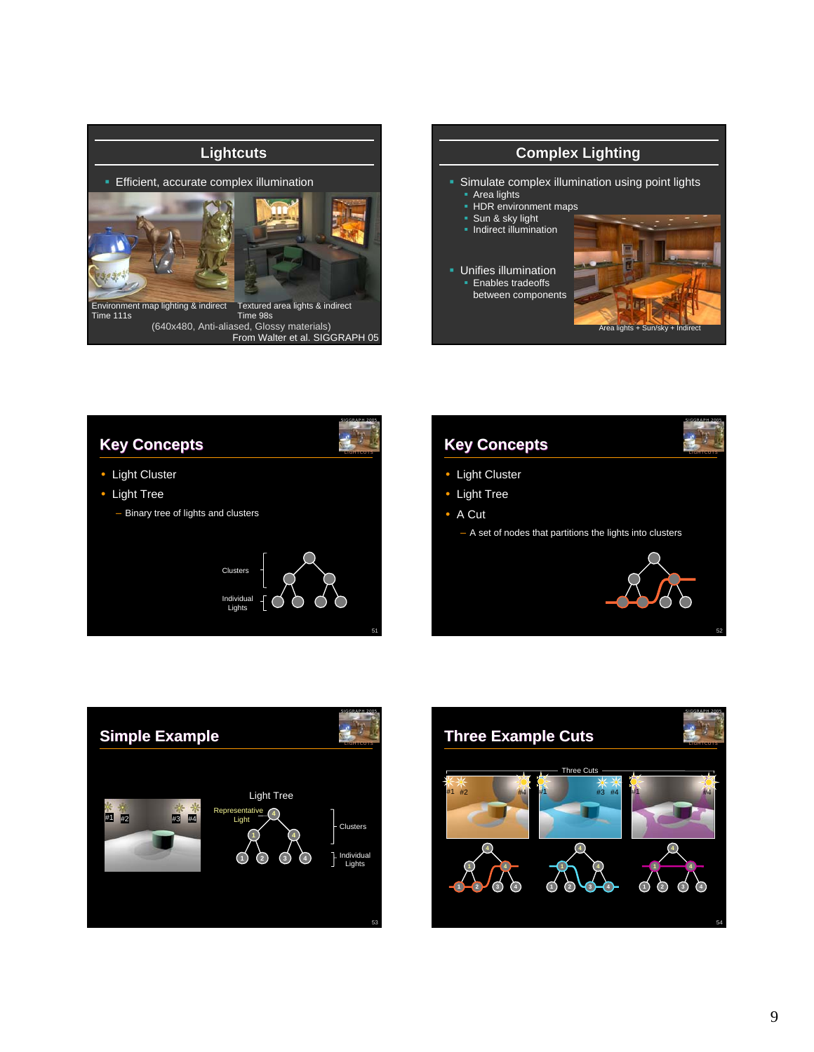![](_page_8_Picture_0.jpeg)

![](_page_8_Picture_1.jpeg)

![](_page_8_Picture_2.jpeg)

![](_page_8_Figure_3.jpeg)

![](_page_8_Picture_4.jpeg)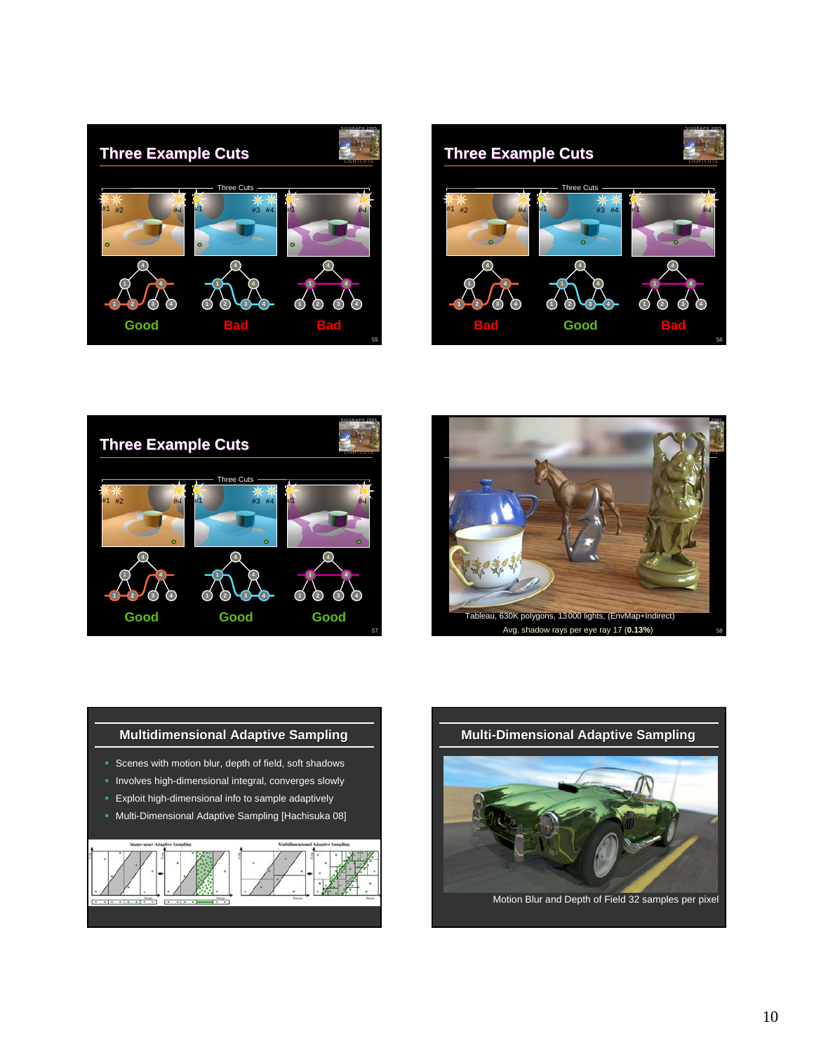![](_page_9_Picture_0.jpeg)

![](_page_9_Picture_1.jpeg)

![](_page_9_Picture_2.jpeg)

![](_page_9_Picture_3.jpeg)

![](_page_9_Figure_4.jpeg)

![](_page_9_Picture_5.jpeg)